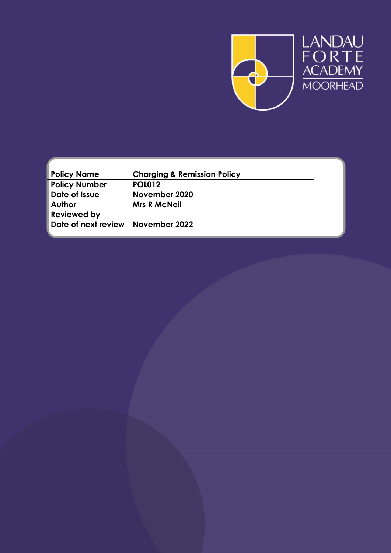

| <b>Policy Name</b>                  | <b>Charging &amp; Remission Policy</b> |  |
|-------------------------------------|----------------------------------------|--|
| <b>Policy Number</b>                | <b>POL012</b>                          |  |
| Date of Issue                       | November 2020                          |  |
| <b>Author</b>                       | <b>Mrs R McNeil</b>                    |  |
| <b>Reviewed by</b>                  |                                        |  |
| Date of next review   November 2022 |                                        |  |
|                                     |                                        |  |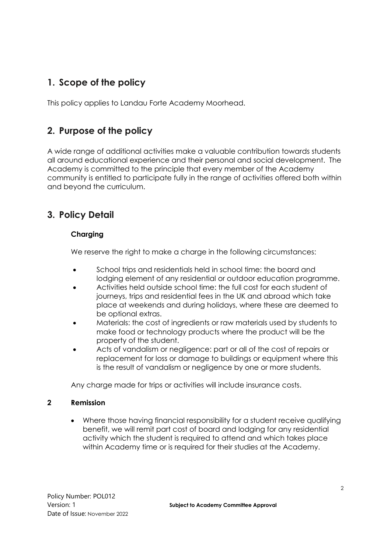# **1. Scope of the policy**

This policy applies to Landau Forte Academy Moorhead.

## **2. Purpose of the policy**

A wide range of additional activities make a valuable contribution towards students all around educational experience and their personal and social development. The Academy is committed to the principle that every member of the Academy community is entitled to participate fully in the range of activities offered both within and beyond the curriculum.

## **3. Policy Detail**

## **Charging**

We reserve the right to make a charge in the following circumstances:

- School trips and residentials held in school time: the board and lodging element of any residential or outdoor education programme.
- Activities held outside school time: the full cost for each student of journeys, trips and residential fees in the UK and abroad which take place at weekends and during holidays, where these are deemed to be optional extras.
- Materials: the cost of ingredients or raw materials used by students to make food or technology products where the product will be the property of the student.
- Acts of vandalism or negligence: part or all of the cost of repairs or replacement for loss or damage to buildings or equipment where this is the result of vandalism or negligence by one or more students.

Any charge made for trips or activities will include insurance costs.

### **2 Remission**

 Where those having financial responsibility for a student receive qualifying benefit, we will remit part cost of board and lodging for any residential activity which the student is required to attend and which takes place within Academy time or is required for their studies at the Academy.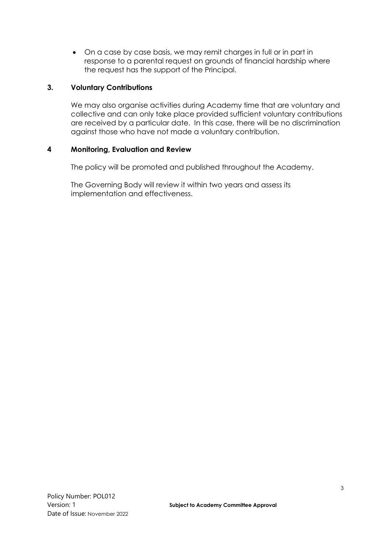On a case by case basis, we may remit charges in full or in part in response to a parental request on grounds of financial hardship where the request has the support of the Principal.

### **3. Voluntary Contributions**

We may also organise activities during Academy time that are voluntary and collective and can only take place provided sufficient voluntary contributions are received by a particular date. In this case, there will be no discrimination against those who have not made a voluntary contribution.

#### **4 Monitoring, Evaluation and Review**

The policy will be promoted and published throughout the Academy.

The Governing Body will review it within two years and assess its implementation and effectiveness.